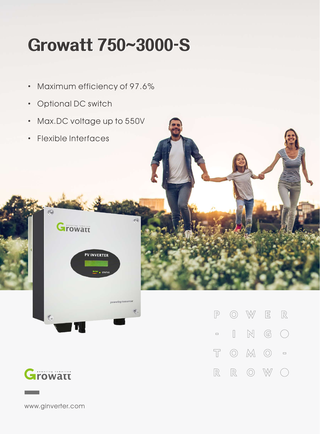## **Growatt750~3000-S**

- · Maximum efficiency of 97.6%
- · Optional DC switch
- · Max.DC voltage up to 550V
- · Flexible Interfaces





 $\mathbb{R}$  $\circledcirc$ W  $\Xi$  $\mathbb{P}$  $\mathbb{N}$  $\mathbb{G}$  $\hfill\Box$  $\bigcap$  $\hfill \square$  $\overline{\mathbb{T}}$  $\circledcirc$   $\mathbb{M}$   $\circlearrowright$  =  $\mathbb{R}$  $\mathbb R$  $\circledcirc$ W  $(\ )$ 

www.ginverter.com